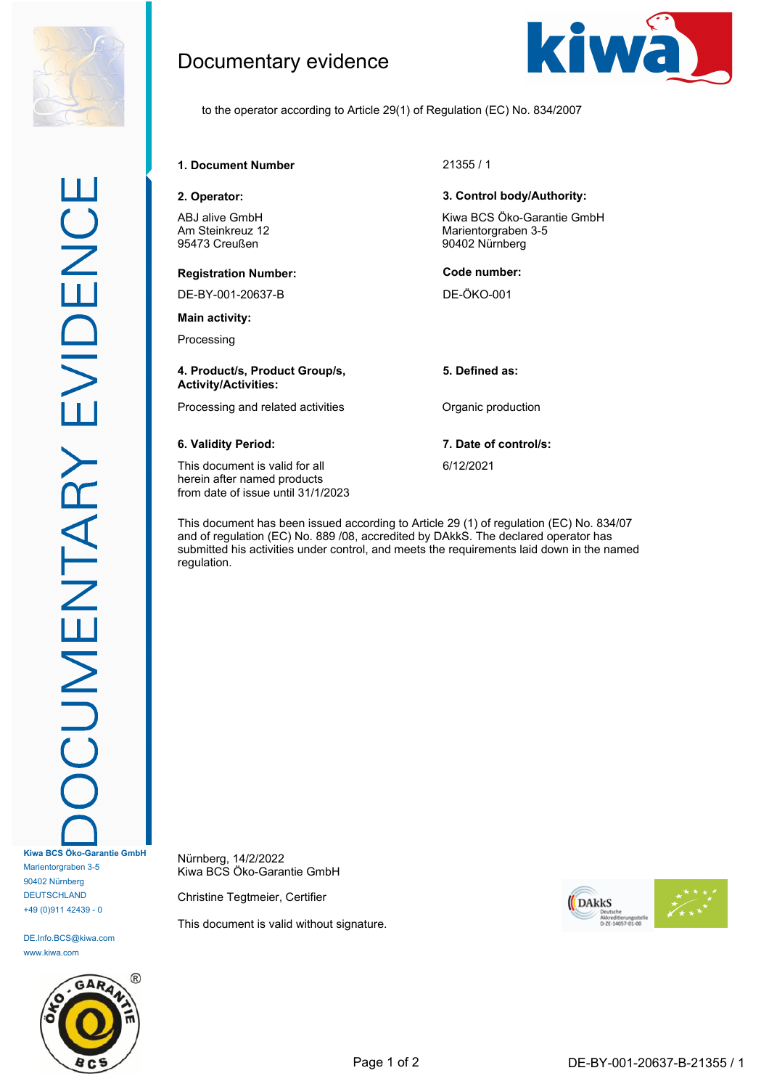

## Documentary evidence



to the operator according to Article 29(1) of Regulation (EC) No. 834/2007

**1. Document Number** 21355 / 1

**2. Operator: 3. Control body/Authority:**

ABJ alive GmbH Am Steinkreuz 12 95473 Creußen

### **Registration Number: Code number:**

DE-BY-001-20637-B DE-ÖKO-001

**Main activity:**

Processing

### **4. Product/s, Product Group/s, Activity/Activities:**

Processing and related activities **Constanting Contract Production** 

This document is valid for all herein after named products from date of issue until 31/1/2023

This document has been issued according to Article 29 (1) of regulation (EC) No. 834/07 and of regulation (EC) No. 889 /08, accredited by DAkkS. The declared operator has submitted his activities under control, and meets the requirements laid down in the named regulation.

Nürnberg, 14/2/2022 Kiwa BCS Öko-Garantie GmbH

Christine Tegtmeier, Certifier

This document is valid without signature.



# Kiwa BCS Öko-Garantie GmbH

Marientorgraben 3-5 90402 Nürnberg

**5. Defined as:**

**6. Validity Period: 7. Date of control/s:**

6/12/2021



DE.Info.BCS@kiwa.com www.kiwa.com